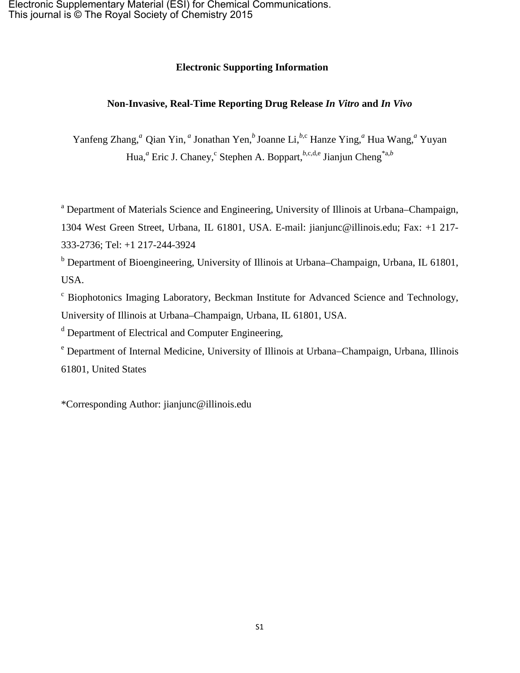### **Electronic Supporting Information**

### **Non-Invasive, Real-Time Reporting Drug Release** *In Vitro* **and** *In Vivo*

Yanfeng Zhang,<sup>*a*</sup> Qian Yin,<sup>*a*</sup> Jonathan Yen,<sup>*b*</sup> Joanne Li,<sup>*b*,c</sup> Hanze Ying,<sup>*a*</sup> Hua Wang,<sup>*a*</sup> Yuyan Hua,<sup>*a*</sup> Eric J. Chaney,<sup>c</sup> Stephen A. Boppart,<sup>*b*,c,d,e</sup> Jianjun Cheng<sup>\*a,*b*</sup>

<sup>a</sup> Department of Materials Science and Engineering, University of Illinois at Urbana–Champaign,

1304 West Green Street, Urbana, IL 61801, USA. E-mail: jianjunc@illinois.edu; Fax: +1 217- 333-2736; Tel: +1 217-244-3924

<sup>b</sup> Department of Bioengineering, University of Illinois at Urbana–Champaign, Urbana, IL 61801, USA.

<sup>c</sup> Biophotonics Imaging Laboratory, Beckman Institute for Advanced Science and Technology, University of Illinois at Urbana–Champaign, Urbana, IL 61801, USA.

<sup>d</sup> Department of Electrical and Computer Engineering,

<sup>e</sup> Department of Internal Medicine, University of Illinois at Urbana−Champaign, Urbana, Illinois 61801, United States

\*Corresponding Author: [jianjunc@illinois.edu](mailto:jianjunc@illinois.edu)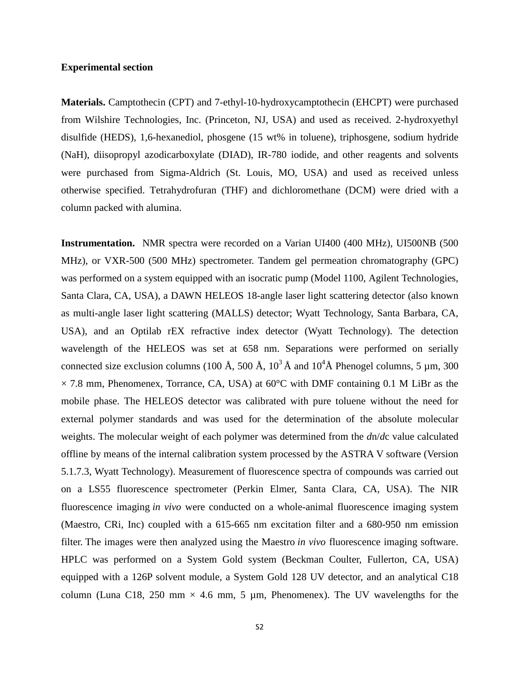#### **Experimental section**

**Materials.** Camptothecin (CPT) and 7-ethyl-10-hydroxycamptothecin (EHCPT) were purchased from Wilshire Technologies, Inc. (Princeton, NJ, USA) and used as received. 2-hydroxyethyl disulfide (HEDS), 1,6-hexanediol, phosgene (15 wt% in toluene), triphosgene, sodium hydride (NaH), diisopropyl azodicarboxylate (DIAD), IR-780 iodide, and other reagents and solvents were purchased from Sigma-Aldrich (St. Louis, MO, USA) and used as received unless otherwise specified. Tetrahydrofuran (THF) and dichloromethane (DCM) were dried with a column packed with alumina.

**Instrumentation.** NMR spectra were recorded on a Varian UI400 (400 MHz), UI500NB (500 MHz), or VXR-500 (500 MHz) spectrometer. Tandem gel permeation chromatography (GPC) was performed on a system equipped with an isocratic pump (Model 1100, Agilent Technologies, Santa Clara, CA, USA), a DAWN HELEOS 18-angle laser light scattering detector (also known as multi-angle laser light scattering (MALLS) detector; Wyatt Technology, Santa Barbara, CA, USA), and an Optilab rEX refractive index detector (Wyatt Technology). The detection wavelength of the HELEOS was set at 658 nm. Separations were performed on serially connected size exclusion columns (100 Å, 500 Å,  $10^3$  Å and  $10^4$ Å Phenogel columns, 5  $\mu$ m, 300  $\times$  7.8 mm, Phenomenex, Torrance, CA, USA) at 60 $^{\circ}$ C with DMF containing 0.1 M LiBr as the mobile phase. The HELEOS detector was calibrated with pure toluene without the need for external polymer standards and was used for the determination of the absolute molecular weights. The molecular weight of each polymer was determined from the *d*n/*d*c value calculated offline by means of the internal calibration system processed by the ASTRA V software (Version 5.1.7.3, Wyatt Technology). Measurement of fluorescence spectra of compounds was carried out on a LS55 fluorescence spectrometer (Perkin Elmer, Santa Clara, CA, USA). The NIR fluorescence imaging *in vivo* were conducted on a whole-animal fluorescence imaging system (Maestro, CRi, Inc) coupled with a 615-665 nm excitation filter and a 680-950 nm emission filter. The images were then analyzed using the Maestro *in vivo* fluorescence imaging software. HPLC was performed on a System Gold system (Beckman Coulter, Fullerton, CA, USA) equipped with a 126P solvent module, a System Gold 128 UV detector, and an analytical C18 column (Luna C18, 250 mm  $\times$  4.6 mm, 5 µm, Phenomenex). The UV wavelengths for the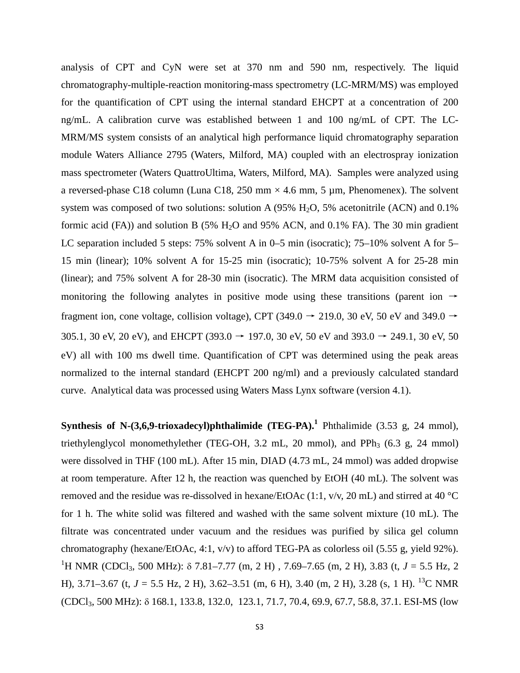analysis of CPT and CyN were set at 370 nm and 590 nm, respectively. The liquid chromatography-multiple-reaction monitoring-mass spectrometry (LC-MRM/MS) was employed for the quantification of CPT using the internal standard EHCPT at a concentration of 200 ng/mL. A calibration curve was established between 1 and 100 ng/mL of CPT. The LC-MRM/MS system consists of an analytical high performance liquid chromatography separation module Waters Alliance 2795 (Waters, Milford, MA) coupled with an electrospray ionization mass spectrometer (Waters QuattroUltima, Waters, Milford, MA). Samples were analyzed using a reversed-phase C18 column (Luna C18, 250 mm  $\times$  4.6 mm, 5 µm, Phenomenex). The solvent system was composed of two solutions: solution A  $(95\% \text{ H}_2\text{O}, 5\%$  acetonitrile  $(ACN)$  and 0.1% formic acid (FA)) and solution B (5%  $H<sub>2</sub>O$  and 95% ACN, and 0.1% FA). The 30 min gradient LC separation included 5 steps: 75% solvent A in 0–5 min (isocratic); 75–10% solvent A for 5– 15 min (linear); 10% solvent A for 15-25 min (isocratic); 10-75% solvent A for 25-28 min (linear); and 75% solvent A for 28-30 min (isocratic). The MRM data acquisition consisted of monitoring the following analytes in positive mode using these transitions (parent ion  $\rightarrow$ fragment ion, cone voltage, collision voltage), CPT (349.0  $\rightarrow$  219.0, 30 eV, 50 eV and 349.0  $\rightarrow$ 305.1, 30 eV, 20 eV), and EHCPT (393.0  $\rightarrow$  197.0, 30 eV, 50 eV and 393.0  $\rightarrow$  249.1, 30 eV, 50 eV) all with 100 ms dwell time. Quantification of CPT was determined using the peak areas normalized to the internal standard (EHCPT 200 ng/ml) and a previously calculated standard curve. Analytical data was processed using Waters Mass Lynx software (version 4.1).

**Synthesis of N-(3,6,9-trioxadecyl)phthalimide (TEG-PA). [1](#page-25-0)** Phthalimide (3.53 g, 24 mmol), triethylenglycol monomethylether (TEG-OH, 3.2 mL, 20 mmol), and PPh<sub>3</sub>  $(6.3 \text{ g}, 24 \text{ mmol})$ were dissolved in THF (100 mL). After 15 min, DIAD (4.73 mL, 24 mmol) was added dropwise at room temperature. After 12 h, the reaction was quenched by EtOH (40 mL). The solvent was removed and the residue was re-dissolved in hexane/EtOAc (1:1, v/v, 20 mL) and stirred at 40 °C for 1 h. The white solid was filtered and washed with the same solvent mixture (10 mL). The filtrate was concentrated under vacuum and the residues was purified by silica gel column chromatography (hexane/EtOAc, 4:1, v/v) to afford TEG-PA as colorless oil (5.55 g, yield 92%). <sup>1</sup>H NMR (CDCl<sub>3</sub>, 500 MHz): δ 7.81–7.77 (m, 2 H), 7.69–7.65 (m, 2 H), 3.83 (t, *J* = 5.5 Hz, 2 H), 3.71–3.67 (t,  $J = 5.5$  Hz, 2 H), 3.62–3.51 (m, 6 H), 3.40 (m, 2 H), 3.28 (s, 1 H). <sup>13</sup>C NMR (CDCl3, 500 MHz): δ 168.1, 133.8, 132.0, 123.1, 71.7, 70.4, 69.9, 67.7, 58.8, 37.1. ESI-MS (low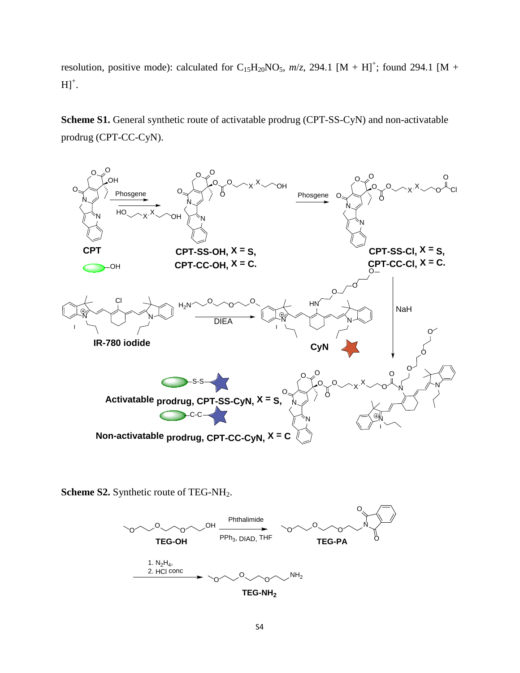resolution, positive mode): calculated for  $C_{15}H_{20}NO_5$ ,  $m/z$ , 294.1 [M + H]<sup>+</sup>; found 294.1 [M +  $H]^{+}.$ 

Scheme S1. General synthetic route of activatable prodrug (CPT-SS-CyN) and non-activatable prodrug (CPT-CC-CyN).



**Scheme S2.** Synthetic route of TEG-NH<sub>2</sub>.

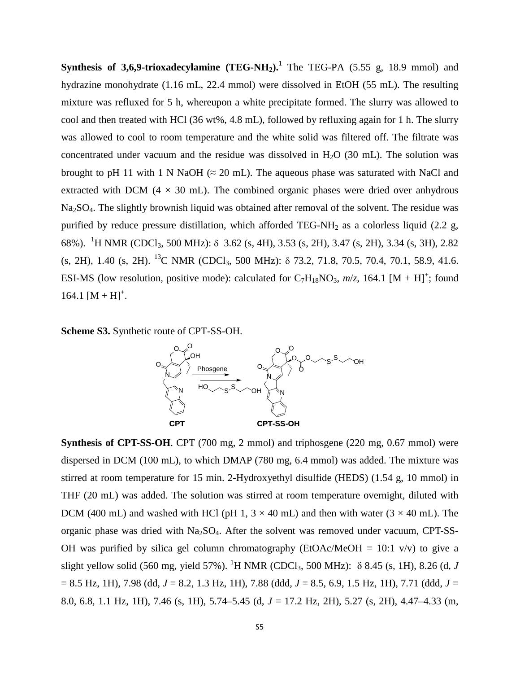**Synthesis of 3,6,9-trioxadecylamine (TEG-NH2)[.1](#page-25-0)** The TEG-PA (5.55 g, 18.9 mmol) and hydrazine monohydrate (1.16 mL, 22.4 mmol) were dissolved in EtOH (55 mL). The resulting mixture was refluxed for 5 h, whereupon a white precipitate formed. The slurry was allowed to cool and then treated with HCl (36 wt%, 4.8 mL), followed by refluxing again for 1 h. The slurry was allowed to cool to room temperature and the white solid was filtered off. The filtrate was concentrated under vacuum and the residue was dissolved in  $H<sub>2</sub>O$  (30 mL). The solution was brought to pH 11 with 1 N NaOH ( $\approx$  20 mL). The aqueous phase was saturated with NaCl and extracted with DCM ( $4 \times 30$  mL). The combined organic phases were dried over anhydrous Na2SO4. The slightly brownish liquid was obtained after removal of the solvent. The residue was purified by reduce pressure distillation, which afforded TEG-NH<sub>2</sub> as a colorless liquid (2.2 g, 68%). <sup>1</sup>H NMR (CDCl<sub>3</sub>, 500 MHz): δ 3.62 (s, 4H), 3.53 (s, 2H), 3.47 (s, 2H), 3.34 (s, 3H), 2.82  $(s, 2H), 1.40$   $(s, 2H).$  <sup>13</sup>C NMR (CDCl<sub>3</sub>, 500 MHz):  $\delta$  73.2, 71.8, 70.5, 70.4, 70.1, 58.9, 41.6. ESI-MS (low resolution, positive mode): calculated for  $C_7H_{18}NO_3$ ,  $m/z$ , 164.1 [M + H]<sup>+</sup>; found  $164.1 [M + H]^{+}$ .

**Scheme S3.** Synthetic route of CPT-SS-OH.



**Synthesis of CPT-SS-OH**. CPT (700 mg, 2 mmol) and triphosgene (220 mg, 0.67 mmol) were dispersed in DCM (100 mL), to which DMAP (780 mg, 6.4 mmol) was added. The mixture was stirred at room temperature for 15 min. 2-Hydroxyethyl disulfide (HEDS) (1.54 g, 10 mmol) in THF (20 mL) was added. The solution was stirred at room temperature overnight, diluted with DCM (400 mL) and washed with HCl (pH 1,  $3 \times 40$  mL) and then with water ( $3 \times 40$  mL). The organic phase was dried with Na2SO4. After the solvent was removed under vacuum, CPT-SS-OH was purified by silica gel column chromatography (EtOAc/MeOH =  $10:1$  v/v) to give a slight yellow solid (560 mg, yield 57%). <sup>1</sup>H NMR (CDCl<sub>3</sub>, 500 MHz):  $\delta$  8.45 (s, 1H), 8.26 (d, *J* = 8.5 Hz, 1H), 7.98 (dd, *J* = 8.2, 1.3 Hz, 1H), 7.88 (ddd, *J* = 8.5, 6.9, 1.5 Hz, 1H), 7.71 (ddd, *J* = 8.0, 6.8, 1.1 Hz, 1H), 7.46 (s, 1H), 5.74–5.45 (d, *J* = 17.2 Hz, 2H), 5.27 (s, 2H), 4.47–4.33 (m,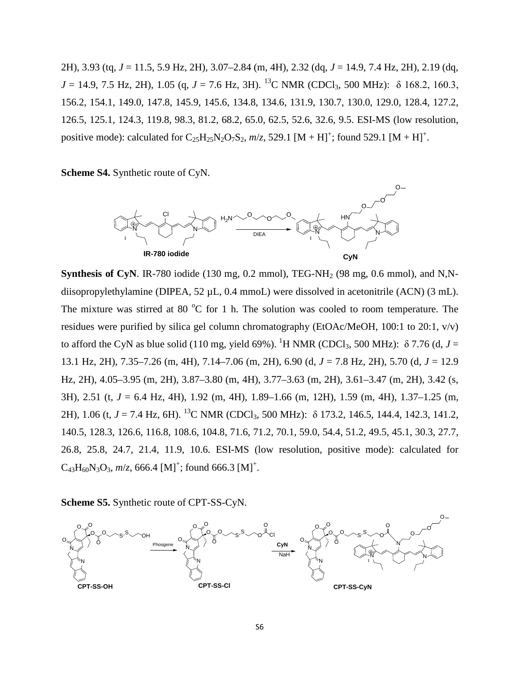2H), 3.93 (tq, *J* = 11.5, 5.9 Hz, 2H), 3.07–2.84 (m, 4H), 2.32 (dq, *J* = 14.9, 7.4 Hz, 2H), 2.19 (dq,  $J = 14.9, 7.5$  Hz, 2H), 1.05 (g,  $J = 7.6$  Hz, 3H). <sup>13</sup>C NMR (CDCl<sub>3</sub>, 500 MHz):  $\delta$  168.2, 160.3, 156.2, 154.1, 149.0, 147.8, 145.9, 145.6, 134.8, 134.6, 131.9, 130.7, 130.0, 129.0, 128.4, 127.2, 126.5, 125.1, 124.3, 119.8, 98.3, 81.2, 68.2, 65.0, 62.5, 52.6, 32.6, 9.5. ESI-MS (low resolution, positive mode): calculated for  $C_{25}H_{25}N_2O_7S_2$ ,  $m/z$ , 529.1  $[M + H]^+$ ; found 529.1  $[M + H]^+$ .

**Scheme S4.** Synthetic route of CyN.



**Synthesis of CyN**. IR-780 iodide (130 mg, 0.2 mmol), TEG-NH<sub>2</sub> (98 mg, 0.6 mmol), and N,Ndiisopropylethylamine (DIPEA, 52 µL, 0.4 mmoL) were dissolved in acetonitrile (ACN) (3 mL). The mixture was stirred at 80  $^{\circ}$ C for 1 h. The solution was cooled to room temperature. The residues were purified by silica gel column chromatography (EtOAc/MeOH, 100:1 to 20:1, v/v) to afford the CyN as blue solid (110 mg, yield 69%). <sup>1</sup>H NMR (CDCl<sub>3</sub>, 500 MHz):  $\delta$  7.76 (d, *J* = 13.1 Hz, 2H), 7.35–7.26 (m, 4H), 7.14–7.06 (m, 2H), 6.90 (d, *J* = 7.8 Hz, 2H), 5.70 (d, *J* = 12.9 Hz, 2H), 4.05–3.95 (m, 2H), 3.87–3.80 (m, 4H), 3.77–3.63 (m, 2H), 3.61–3.47 (m, 2H), 3.42 (s, 3H), 2.51 (t, *J* = 6.4 Hz, 4H), 1.92 (m, 4H), 1.89–1.66 (m, 12H), 1.59 (m, 4H), 1.37–1.25 (m, 2H), 1.06 (t, *J* = 7.4 Hz, 6H). 13C NMR (CDCl3, 500 MHz): δ 173.2, 146.5, 144.4, 142.3, 141.2, 140.5, 128.3, 126.6, 116.8, 108.6, 104.8, 71.6, 71.2, 70.1, 59.0, 54.4, 51.2, 49.5, 45.1, 30.3, 27.7, 26.8, 25.8, 24.7, 21.4, 11.9, 10.6. ESI-MS (low resolution, positive mode): calculated for  $C_{43}H_{60}N_3O_3$ ,  $m/z$ , 666.4 [M]<sup>+</sup>; found 666.3 [M]<sup>+</sup>.

### **Scheme S5.** Synthetic route of CPT-SS-CyN.

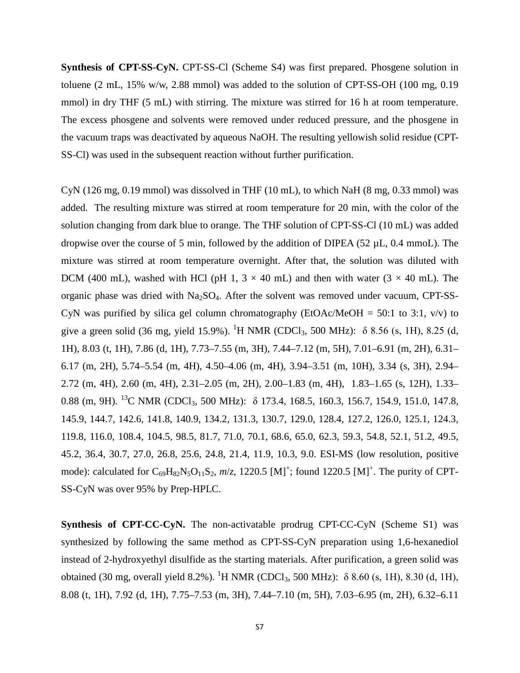**Synthesis of CPT-SS-CyN.** CPT-SS-Cl (Scheme S4) was first prepared. Phosgene solution in toluene (2 mL, 15% w/w, 2.88 mmol) was added to the solution of CPT-SS-OH (100 mg, 0.19 mmol) in dry THF (5 mL) with stirring. The mixture was stirred for 16 h at room temperature. The excess phosgene and solvents were removed under reduced pressure, and the phosgene in the vacuum traps was deactivated by aqueous NaOH. The resulting yellowish solid residue (CPT-SS-Cl) was used in the subsequent reaction without further purification.

CyN (126 mg, 0.19 mmol) was dissolved in THF (10 mL), to which NaH (8 mg, 0.33 mmol) was added. The resulting mixture was stirred at room temperature for 20 min, with the color of the solution changing from dark blue to orange. The THF solution of CPT-SS-Cl (10 mL) was added dropwise over the course of 5 min, followed by the addition of DIPEA (52  $\mu$ L, 0.4 mmoL). The mixture was stirred at room temperature overnight. After that, the solution was diluted with DCM (400 mL), washed with HCl (pH 1,  $3 \times 40$  mL) and then with water ( $3 \times 40$  mL). The organic phase was dried with  $Na<sub>2</sub>SO<sub>4</sub>$ . After the solvent was removed under vacuum, CPT-SS-CyN was purified by silica gel column chromatography ( $EtOAc/MeOH = 50:1$  to 3:1, v/v) to give a green solid (36 mg, yield 15.9%). <sup>1</sup>H NMR (CDCl<sub>3</sub>, 500 MHz):  $\delta$  8.56 (s, 1H), 8.25 (d, 1H), 8.03 (t, 1H), 7.86 (d, 1H), 7.73–7.55 (m, 3H), 7.44–7.12 (m, 5H), 7.01–6.91 (m, 2H), 6.31– 6.17 (m, 2H), 5.74–5.54 (m, 4H), 4.50–4.06 (m, 4H), 3.94–3.51 (m, 10H), 3.34 (s, 3H), 2.94– 2.72 (m, 4H), 2.60 (m, 4H), 2.31–2.05 (m, 2H), 2.00–1.83 (m, 4H), 1.83–1.65 (s, 12H), 1.33– 0.88 (m, 9H). <sup>13</sup>C NMR (CDCl<sub>3</sub>, 500 MHz): δ 173.4, 168.5, 160.3, 156.7, 154.9, 151.0, 147.8, 145.9, 144.7, 142.6, 141.8, 140.9, 134.2, 131.3, 130.7, 129.0, 128.4, 127.2, 126.0, 125.1, 124.3, 119.8, 116.0, 108.4, 104.5, 98.5, 81.7, 71.0, 70.1, 68.6, 65.0, 62.3, 59.3, 54.8, 52.1, 51.2, 49.5, 45.2, 36.4, 30.7, 27.0, 26.8, 25.6, 24.8, 21.4, 11.9, 10.3, 9.0. ESI-MS (low resolution, positive mode): calculated for  $C_{69}H_{82}N_5O_{11}S_2$ ,  $m/z$ , 1220.5 [M]<sup>+</sup>; found 1220.5 [M]<sup>+</sup>. The purity of CPT-SS-CyN was over 95% by Prep-HPLC.

**Synthesis of CPT-CC-CyN.** The non-activatable prodrug CPT-CC-CyN (Scheme S1) was synthesized by following the same method as CPT-SS-CyN preparation using 1,6-hexanediol instead of 2-hydroxyethyl disulfide as the starting materials. After purification, a green solid was obtained (30 mg, overall yield 8.2%). <sup>1</sup>H NMR (CDCl<sub>3</sub>, 500 MHz):  $\delta$  8.60 (s, 1H), 8.30 (d, 1H), 8.08 (t, 1H), 7.92 (d, 1H), 7.75–7.53 (m, 3H), 7.44–7.10 (m, 5H), 7.03–6.95 (m, 2H), 6.32–6.11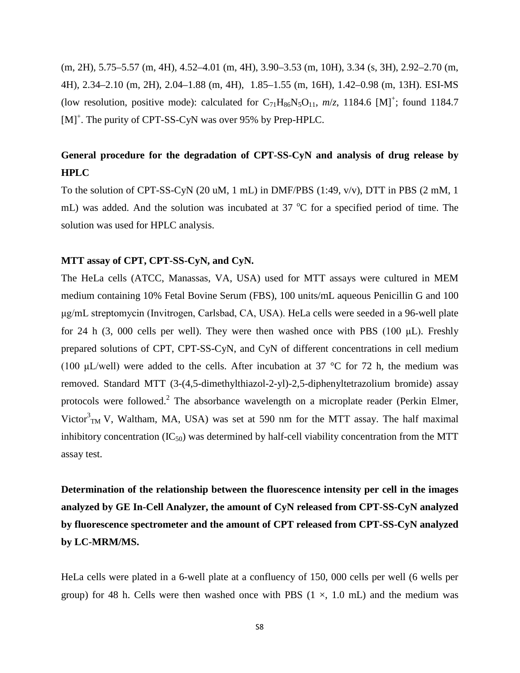(m, 2H), 5.75–5.57 (m, 4H), 4.52–4.01 (m, 4H), 3.90–3.53 (m, 10H), 3.34 (s, 3H), 2.92–2.70 (m, 4H), 2.34–2.10 (m, 2H), 2.04–1.88 (m, 4H), 1.85–1.55 (m, 16H), 1.42–0.98 (m, 13H). ESI-MS (low resolution, positive mode): calculated for  $C_{71}H_{86}N_5O_{11}$ ,  $m/z$ , 1184.6 [M]<sup>+</sup>; found 1184.7 [M]<sup>+</sup>. The purity of CPT-SS-CyN was over 95% by Prep-HPLC.

## **General procedure for the degradation of CPT-SS-CyN and analysis of drug release by HPLC**

To the solution of CPT-SS-CyN (20 uM, 1 mL) in DMF/PBS (1:49,  $v/v$ ), DTT in PBS (2 mM, 1 mL) was added. And the solution was incubated at 37  $^{\circ}$ C for a specified period of time. The solution was used for HPLC analysis.

#### **MTT assay of CPT, CPT-SS-CyN, and CyN.**

The HeLa cells (ATCC, Manassas, VA, USA) used for MTT assays were cultured in MEM medium containing 10% Fetal Bovine Serum (FBS), 100 units/mL aqueous Penicillin G and 100 μg/mL streptomycin (Invitrogen, Carlsbad, CA, USA). HeLa cells were seeded in a 96-well plate for 24 h (3, 000 cells per well). They were then washed once with PBS (100  $\mu$ L). Freshly prepared solutions of CPT, CPT-SS-CyN, and CyN of different concentrations in cell medium (100  $\mu$ L/well) were added to the cells. After incubation at 37 °C for 72 h, the medium was removed. Standard MTT (3-(4,5-dimethylthiazol-2-yl)-2,5-diphenyltetrazolium bromide) assay protocols were followed.<sup>[2](#page-25-1)</sup> The absorbance wavelength on a microplate reader (Perkin Elmer, Victor $<sup>3</sup>$ <sub>TM</sub> V, Waltham, MA, USA) was set at 590 nm for the MTT assay. The half maximal</sup> inhibitory concentration  $(IC_{50})$  was determined by half-cell viability concentration from the MTT assay test.

**Determination of the relationship between the fluorescence intensity per cell in the images analyzed by GE In-Cell Analyzer, the amount of CyN released from CPT-SS-CyN analyzed by fluorescence spectrometer and the amount of CPT released from CPT-SS-CyN analyzed by LC-MRM/MS.**

HeLa cells were plated in a 6-well plate at a confluency of 150, 000 cells per well (6 wells per group) for 48 h. Cells were then washed once with PBS  $(1 \times, 1.0 \text{ mL})$  and the medium was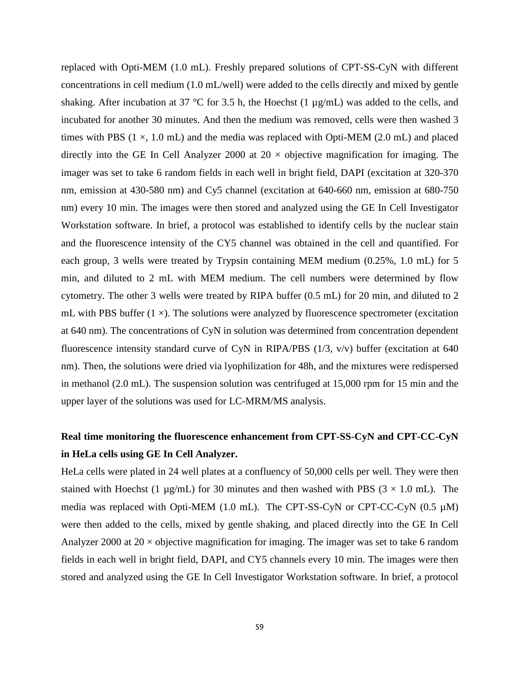replaced with Opti-MEM (1.0 mL). Freshly prepared solutions of CPT-SS-CyN with different concentrations in cell medium (1.0 mL/well) were added to the cells directly and mixed by gentle shaking. After incubation at 37 °C for 3.5 h, the Hoechst (1 µg/mL) was added to the cells, and incubated for another 30 minutes. And then the medium was removed, cells were then washed 3 times with PBS  $(1 \times, 1.0 \text{ mL})$  and the media was replaced with Opti-MEM  $(2.0 \text{ mL})$  and placed directly into the GE In Cell Analyzer 2000 at  $20 \times$  objective magnification for imaging. The imager was set to take 6 random fields in each well in bright field, DAPI (excitation at 320-370 nm, emission at 430-580 nm) and Cy5 channel (excitation at 640-660 nm, emission at 680-750 nm) every 10 min. The images were then stored and analyzed using the GE In Cell Investigator Workstation software. In brief, a protocol was established to identify cells by the nuclear stain and the fluorescence intensity of the CY5 channel was obtained in the cell and quantified. For each group, 3 wells were treated by Trypsin containing MEM medium (0.25%, 1.0 mL) for 5 min, and diluted to 2 mL with MEM medium. The cell numbers were determined by flow cytometry. The other 3 wells were treated by RIPA buffer (0.5 mL) for 20 min, and diluted to 2 mL with PBS buffer  $(1 \times)$ . The solutions were analyzed by fluorescence spectrometer (excitation at 640 nm). The concentrations of CyN in solution was determined from concentration dependent fluorescence intensity standard curve of CyN in RIPA/PBS (1/3, v/v) buffer (excitation at 640 nm). Then, the solutions were dried via lyophilization for 48h, and the mixtures were redispersed in methanol (2.0 mL). The suspension solution was centrifuged at 15,000 rpm for 15 min and the upper layer of the solutions was used for LC-MRM/MS analysis.

# **Real time monitoring the fluorescence enhancement from CPT-SS-CyN and CPT-CC-CyN in HeLa cells using GE In Cell Analyzer.**

HeLa cells were plated in 24 well plates at a confluency of 50,000 cells per well. They were then stained with Hoechst (1  $\mu$ g/mL) for 30 minutes and then washed with PBS (3  $\times$  1.0 mL). The media was replaced with Opti-MEM (1.0 mL). The CPT-SS-CyN or CPT-CC-CyN (0.5  $\mu$ M) were then added to the cells, mixed by gentle shaking, and placed directly into the GE In Cell Analyzer 2000 at  $20 \times$  objective magnification for imaging. The imager was set to take 6 random fields in each well in bright field, DAPI, and CY5 channels every 10 min. The images were then stored and analyzed using the GE In Cell Investigator Workstation software. In brief, a protocol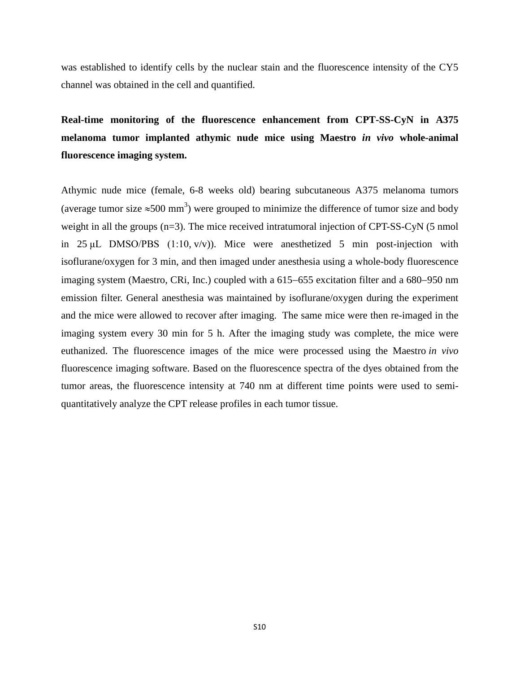was established to identify cells by the nuclear stain and the fluorescence intensity of the CY5 channel was obtained in the cell and quantified.

**Real-time monitoring of the fluorescence enhancement from CPT-SS-CyN in A375 melanoma tumor implanted athymic nude mice using Maestro** *in vivo* **whole-animal fluorescence imaging system.** 

Athymic nude mice (female, 6-8 weeks old) bearing subcutaneous A375 melanoma tumors (average tumor size  $\approx$ 500 mm<sup>3</sup>) were grouped to minimize the difference of tumor size and body weight in all the groups (n=3). The mice received intratumoral injection of CPT-SS-CyN (5 nmol in 25  $\mu$ L DMSO/PBS (1:10, v/v)). Mice were anesthetized 5 min post-injection with isoflurane/oxygen for 3 min, and then imaged under anesthesia using a whole-body fluorescence imaging system (Maestro, CRi, Inc.) coupled with a 615−655 excitation filter and a 680−950 nm emission filter. General anesthesia was maintained by isoflurane/oxygen during the experiment and the mice were allowed to recover after imaging. The same mice were then re-imaged in the imaging system every 30 min for 5 h. After the imaging study was complete, the mice were euthanized. The fluorescence images of the mice were processed using the Maestro *in vivo* fluorescence imaging software. Based on the fluorescence spectra of the dyes obtained from the tumor areas, the fluorescence intensity at 740 nm at different time points were used to semiquantitatively analyze the CPT release profiles in each tumor tissue.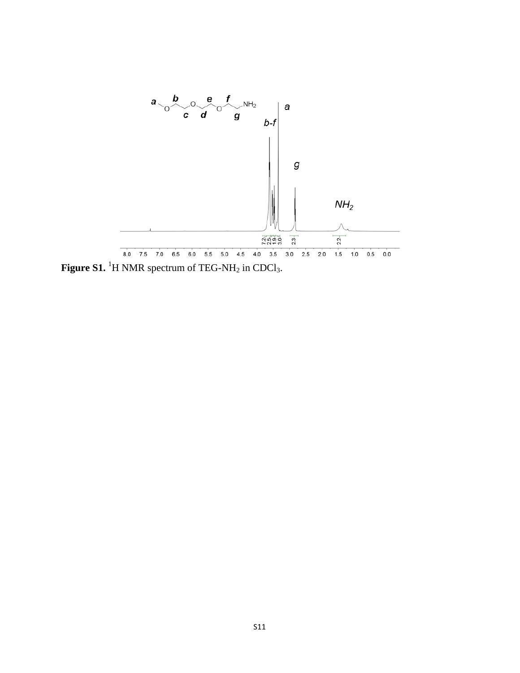

**Figure S1.** <sup>1</sup>H NMR spectrum of TEG-NH<sub>2</sub> in CDCl<sub>3</sub>.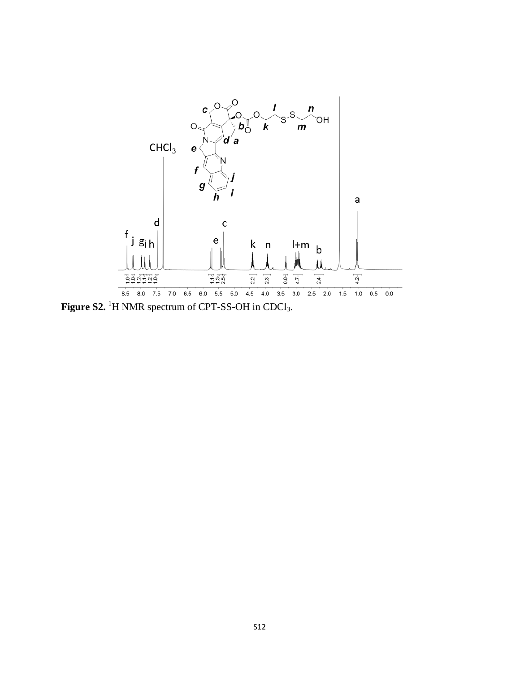

**Figure S2.** <sup>1</sup>H NMR spectrum of CPT-SS-OH in CDCl<sub>3</sub>.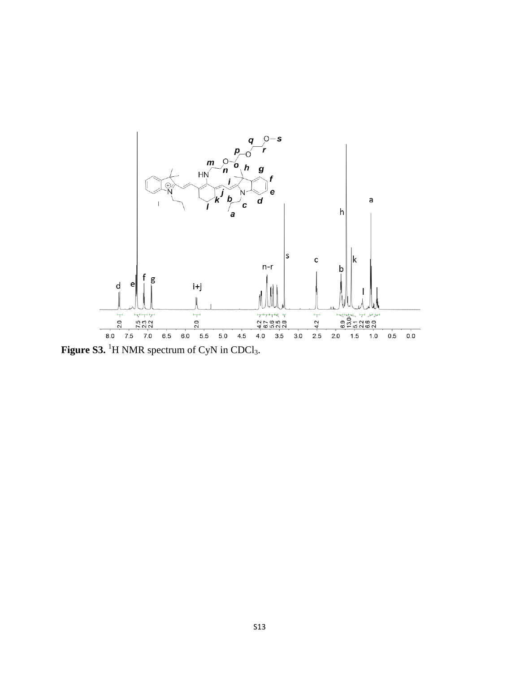

Figure S3.<sup>1</sup>H NMR spectrum of CyN in CDCl<sub>3</sub>.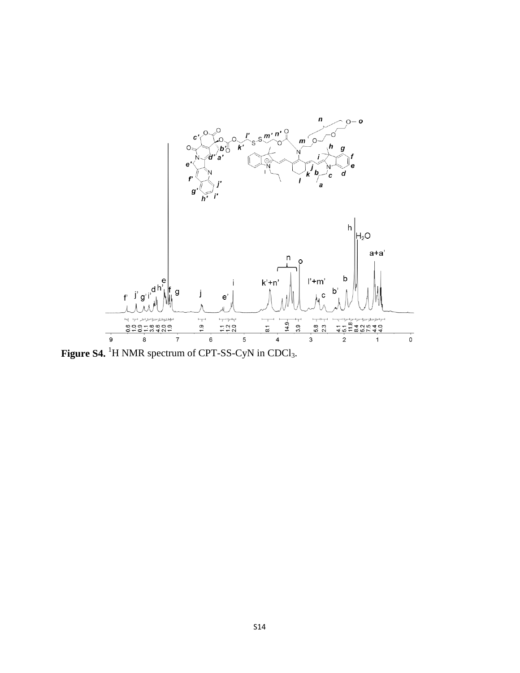

**Figure S4.** <sup>1</sup>H NMR spectrum of CPT-SS-CyN in CDCl<sub>3</sub>.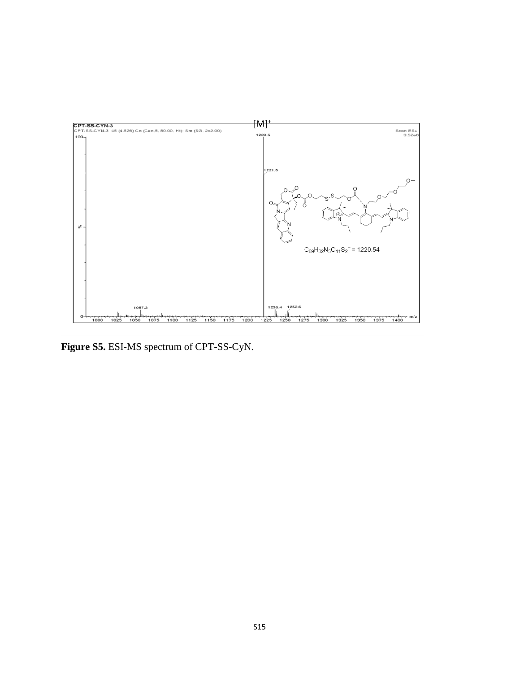

**Figure S5.** ESI-MS spectrum of CPT-SS-CyN.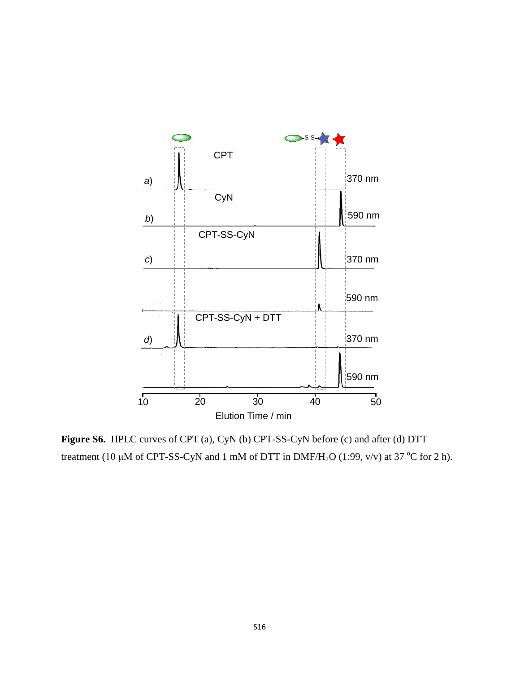

**Figure S6.** HPLC curves of CPT (a), CyN (b) CPT-SS-CyN before (c) and after (d) DTT treatment (10  $\mu$ M of CPT-SS-CyN and 1 mM of DTT in DMF/H<sub>2</sub>O (1:99, v/v) at 37 °C for 2 h).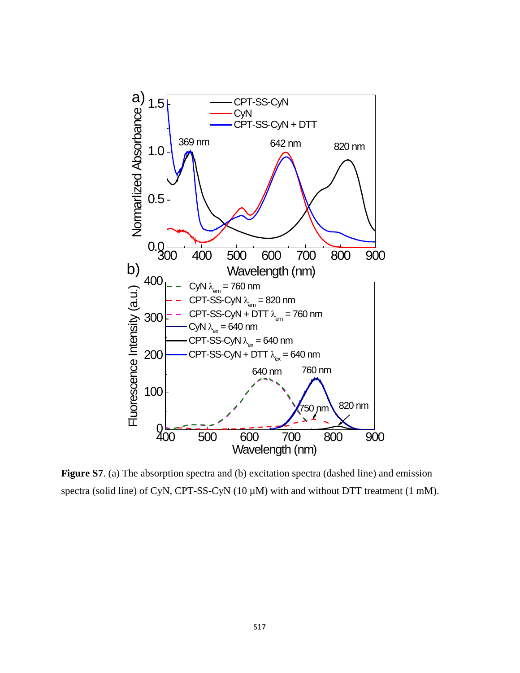

Figure S7. (a) The absorption spectra and (b) excitation spectra (dashed line) and emission spectra (solid line) of CyN, CPT-SS-CyN (10  $\mu$ M) with and without DTT treatment (1 mM).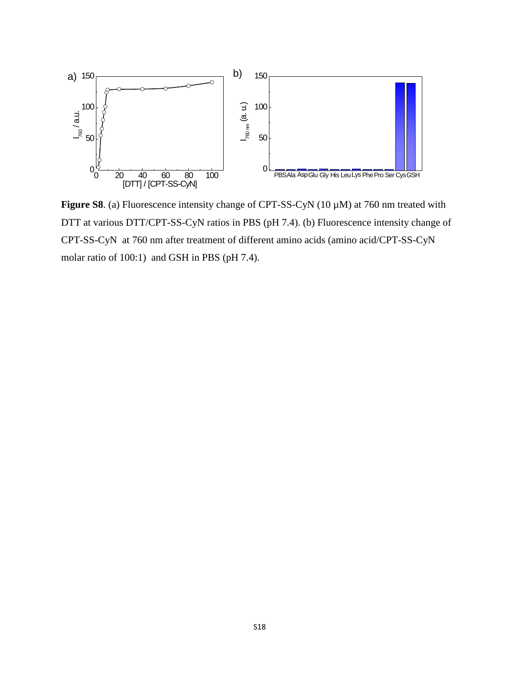

**Figure S8**. (a) Fluorescence intensity change of CPT-SS-CyN (10 µM) at 760 nm treated with DTT at various DTT/CPT-SS-CyN ratios in PBS (pH 7.4). (b) Fluorescence intensity change of CPT-SS-CyN at 760 nm after treatment of different amino acids (amino acid/CPT-SS-CyN molar ratio of 100:1) and GSH in PBS (pH 7.4).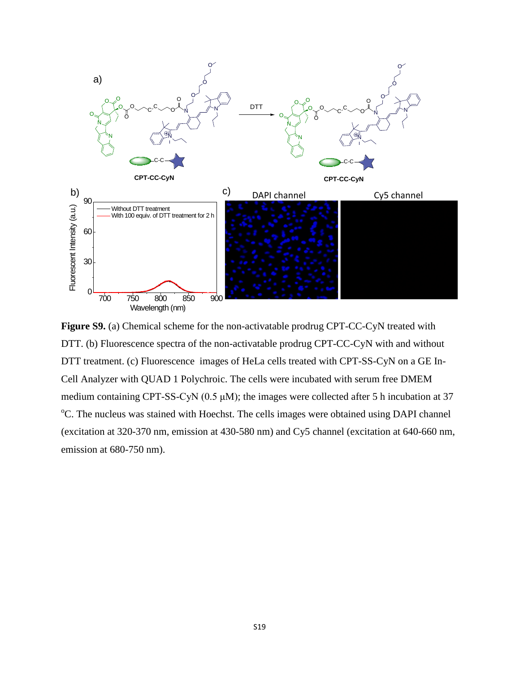

**Figure S9.** (a) Chemical scheme for the non-activatable prodrug CPT-CC-CyN treated with DTT. (b) Fluorescence spectra of the non-activatable prodrug CPT-CC-CyN with and without DTT treatment. (c) Fluorescence images of HeLa cells treated with CPT-SS-CyN on a GE In-Cell Analyzer with QUAD 1 Polychroic. The cells were incubated with serum free DMEM medium containing CPT-SS-CyN  $(0.5 \mu M)$ ; the images were collected after 5 h incubation at 37 <sup>o</sup>C. The nucleus was stained with Hoechst. The cells images were obtained using DAPI channel (excitation at 320-370 nm, emission at 430-580 nm) and Cy5 channel (excitation at 640-660 nm, emission at 680-750 nm).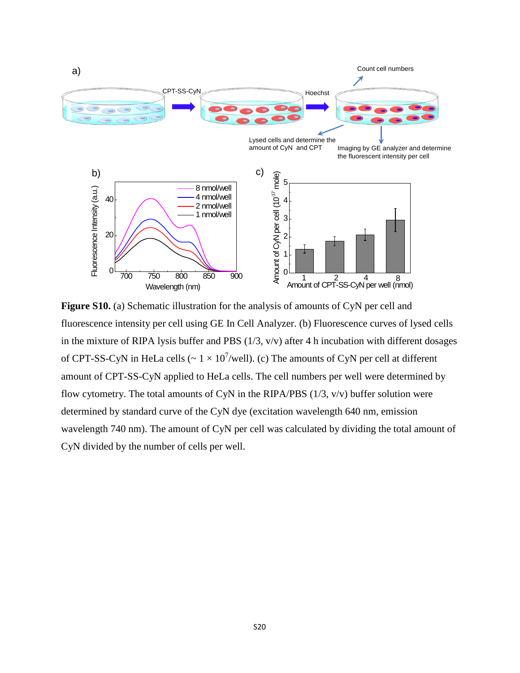

**Figure S10.** (a) Schematic illustration for the analysis of amounts of CyN per cell and fluorescence intensity per cell using GE In Cell Analyzer. (b) Fluorescence curves of lysed cells in the mixture of RIPA lysis buffer and PBS  $(1/3, v/v)$  after 4 h incubation with different dosages of CPT-SS-CyN in HeLa cells ( $\sim 1 \times 10^{7}$ /well). (c) The amounts of CyN per cell at different amount of CPT-SS-CyN applied to HeLa cells. The cell numbers per well were determined by flow cytometry. The total amounts of CyN in the RIPA/PBS  $(1/3, v/v)$  buffer solution were determined by standard curve of the CyN dye (excitation wavelength 640 nm, emission wavelength 740 nm). The amount of CyN per cell was calculated by dividing the total amount of CyN divided by the number of cells per well.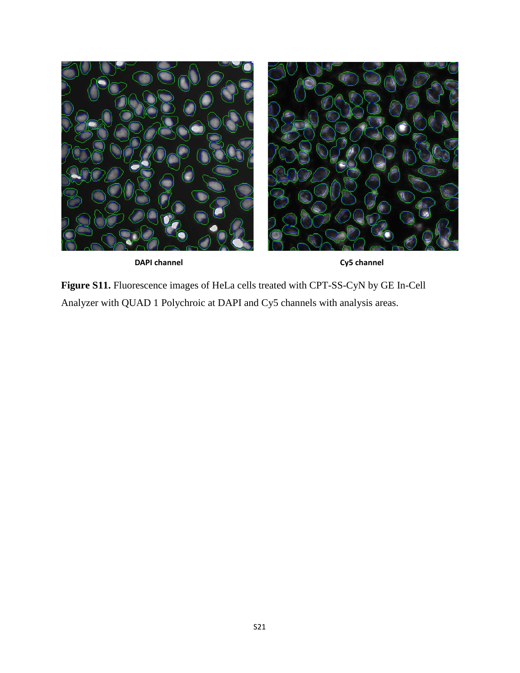



**Figure S11.** Fluorescence images of HeLa cells treated with CPT-SS-CyN by GE In-Cell Analyzer with QUAD 1 Polychroic at DAPI and Cy5 channels with analysis areas.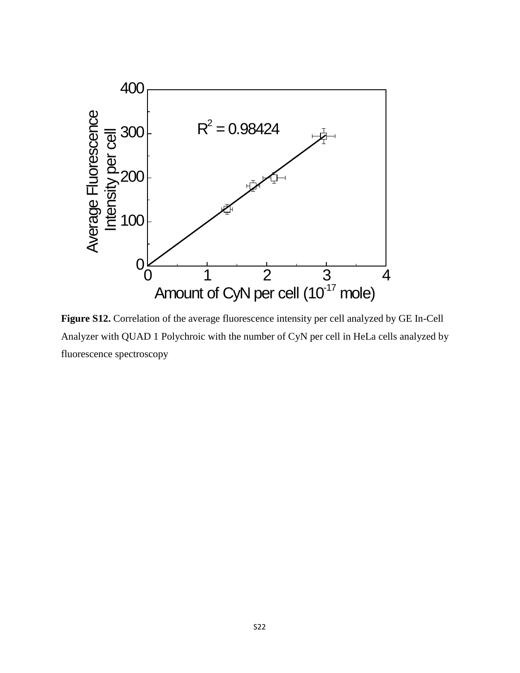

**Figure S12.** Correlation of the average fluorescence intensity per cell analyzed by GE In-Cell Analyzer with QUAD 1 Polychroic with the number of CyN per cell in HeLa cells analyzed by fluorescence spectroscopy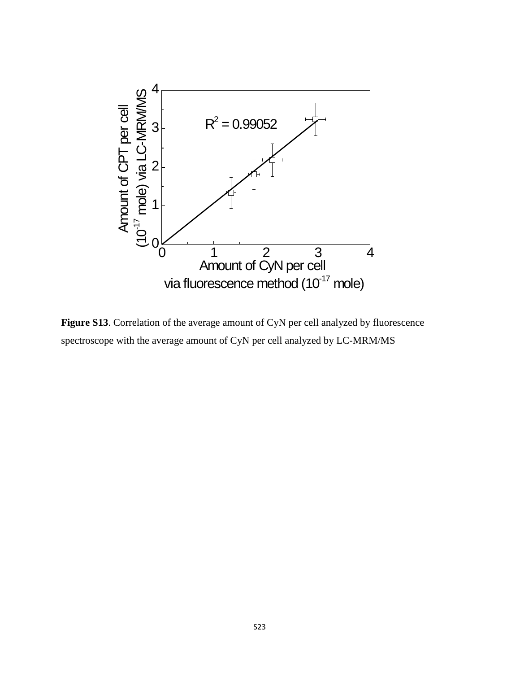

**Figure S13**. Correlation of the average amount of CyN per cell analyzed by fluorescence spectroscope with the average amount of CyN per cell analyzed by LC-MRM/MS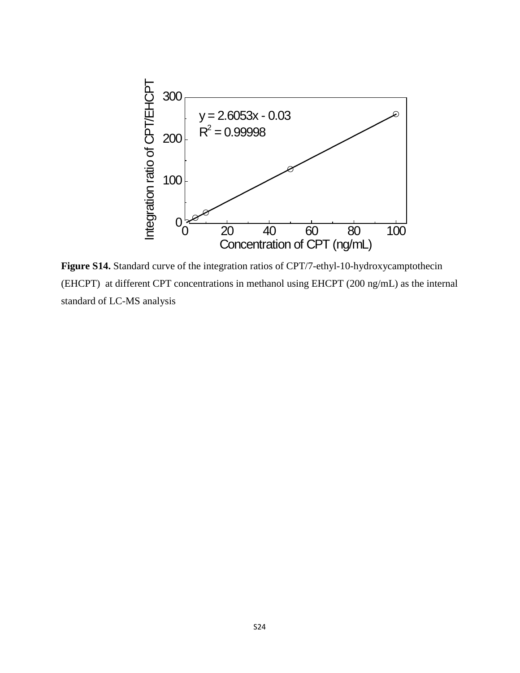

**Figure S14.** Standard curve of the integration ratios of CPT/7-ethyl-10-hydroxycamptothecin (EHCPT) at different CPT concentrations in methanol using EHCPT (200 ng/mL) as the internal standard of LC-MS analysis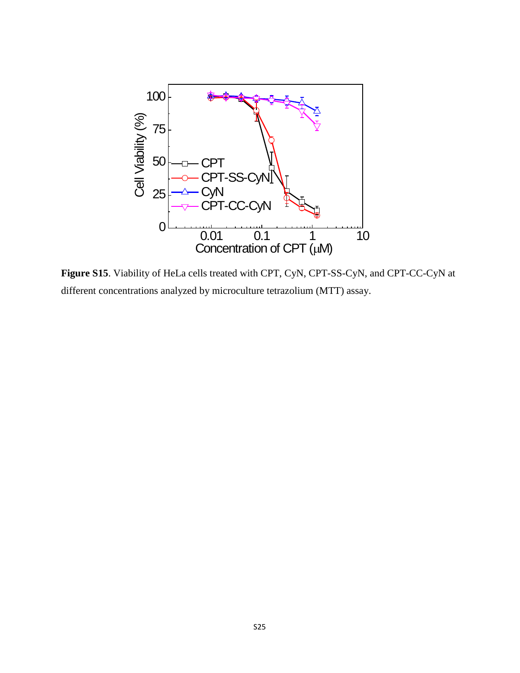

**Figure S15**. Viability of HeLa cells treated with CPT, CyN, CPT-SS-CyN, and CPT-CC-CyN at different concentrations analyzed by microculture tetrazolium (MTT) assay.